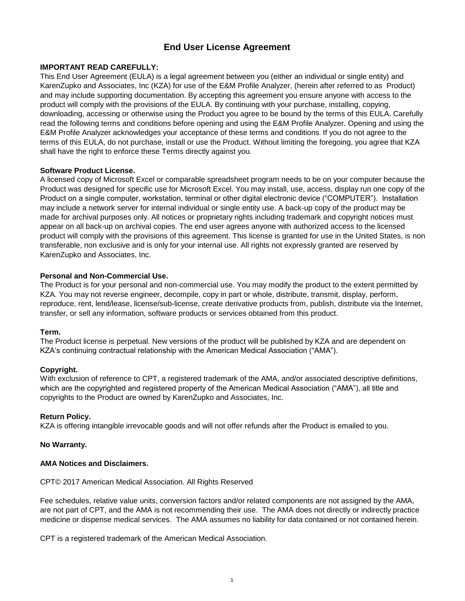# **End User License Agreement**

### **IMPORTANT READ CAREFULLY:**

This End User Agreement (EULA) is a legal agreement between you (either an individual or single entity) and KarenZupko and Associates, Inc (KZA) for use of the E&M Profile Analyzer, (herein after referred to as Product) and may include supporting documentation. By accepting this agreement you ensure anyone with access to the product will comply with the provisions of the EULA. By continuing with your purchase, installing, copying, downloading, accessing or otherwise using the Product you agree to be bound by the terms of this EULA. Carefully read the following terms and conditions before opening and using the E&M Profile Analyzer. Opening and using the E&M Profile Analyzer acknowledges your acceptance of these terms and conditions. If you do not agree to the terms of this EULA, do not purchase, install or use the Product. Without limiting the foregoing, you agree that KZA shall have the right to enforce these Terms directly against you.

#### **Software Product License.**

A licensed copy of Microsoft Excel or comparable spreadsheet program needs to be on your computer because the Product was designed for specific use for Microsoft Excel. You may install, use, access, display run one copy of the Product on a single computer, workstation, terminal or other digital electronic device ("COMPUTER"). Installation may include a network server for internal individual or single entity use. A back-up copy of the product may be made for archival purposes only. All notices or proprietary rights including trademark and copyright notices must appear on all back-up on archival copies. The end user agrees anyone with authorized access to the licensed product will comply with the provisions of this agreement. This license is granted for use in the United States, is non transferable, non exclusive and is only for your internal use. All rights not expressly granted are reserved by KarenZupko and Associates, Inc.

### **Personal and Non-Commercial Use.**

The Product is for your personal and non-commercial use. You may modify the product to the extent permitted by KZA. You may not reverse engineer, decompile, copy in part or whole, distribute, transmit, display, perform, reproduce, rent, lend/lease, license/sub-license, create derivative products from, publish, distribute via the Internet, transfer, or sell any information, software products or services obtained from this product.

#### **Term.**

The Product license is perpetual. New versions of the product will be published by KZA and are dependent on KZA's continuing contractual relationship with the American Medical Association ("AMA").

# **Copyright.**

With exclusion of reference to CPT, a registered trademark of the AMA, and/or associated descriptive definitions, which are the copyrighted and registered property of the American Medical Association ("AMA"), all title and copyrights to the Product are owned by KarenZupko and Associates, Inc.

#### **Return Policy.**

KZA is offering intangible irrevocable goods and will not offer refunds after the Product is emailed to you.

#### **No Warranty.**

#### **AMA Notices and Disclaimers.**

CPT© 2017 American Medical Association. All Rights Reserved

Fee schedules, relative value units, conversion factors and/or related components are not assigned by the AMA, are not part of CPT, and the AMA is not recommending their use. The AMA does not directly or indirectly practice medicine or dispense medical services. The AMA assumes no liability for data contained or not contained herein.

CPT is a registered trademark of the American Medical Association.